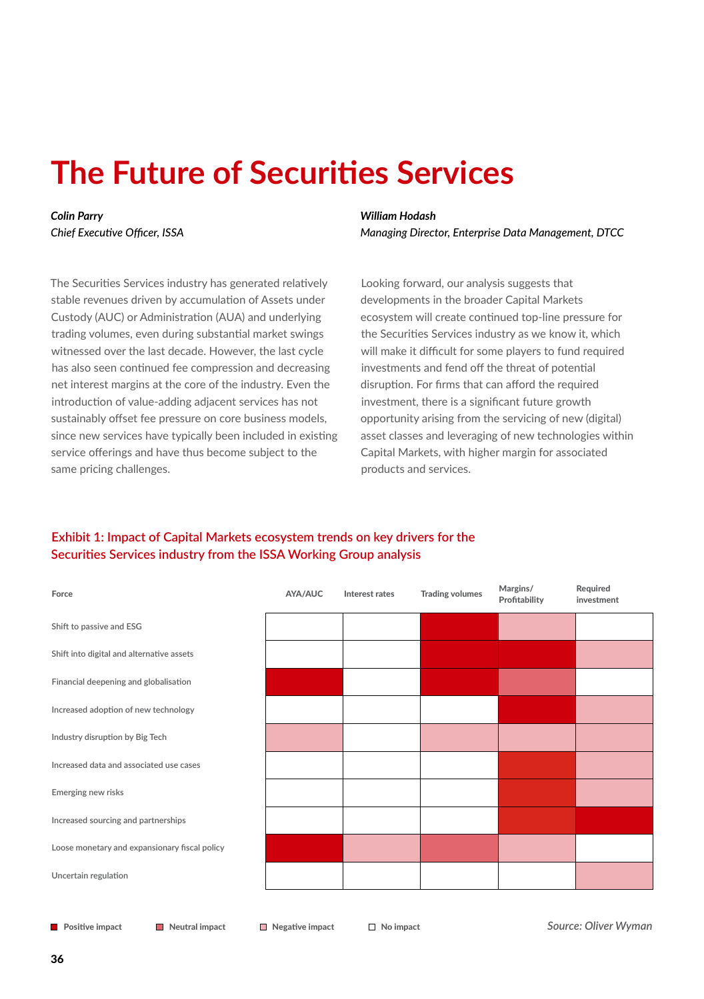# **The Future of Securities Services**

*Colin Parry Chief Executive Officer, ISSA* *William Hodash Managing Director, Enterprise Data Management, DTCC*

The Securities Services industry has generated relatively stable revenues driven by accumulation of Assets under Custody (AUC) or Administration (AUA) and underlying trading volumes, even during substantial market swings witnessed over the last decade. However, the last cycle has also seen continued fee compression and decreasing net interest margins at the core of the industry. Even the introduction of value-adding adjacent services has not sustainably offset fee pressure on core business models, since new services have typically been included in existing service offerings and have thus become subject to the same pricing challenges.

Looking forward, our analysis suggests that developments in the broader Capital Markets ecosystem will create continued top-line pressure for the Securities Services industry as we know it, which will make it difficult for some players to fund required investments and fend off the threat of potential disruption. For firms that can afford the required investment, there is a significant future growth opportunity arising from the servicing of new (digital) asset classes and leveraging of new technologies within Capital Markets, with higher margin for associated products and services.

# **Exhibit 1: Impact of Capital Markets ecosystem trends on key drivers for the Securities Services industry from the ISSA Working Group analysis**

| Force                                         | AYA/AUC | Interest rates | <b>Trading volumes</b> | Margins/<br>Profitability | Required<br>investment |
|-----------------------------------------------|---------|----------------|------------------------|---------------------------|------------------------|
| Shift to passive and ESG                      |         |                |                        |                           |                        |
| Shift into digital and alternative assets     |         |                |                        |                           |                        |
| Financial deepening and globalisation         |         |                |                        |                           |                        |
| Increased adoption of new technology          |         |                |                        |                           |                        |
| Industry disruption by Big Tech               |         |                |                        |                           |                        |
| Increased data and associated use cases       |         |                |                        |                           |                        |
| Emerging new risks                            |         |                |                        |                           |                        |
| Increased sourcing and partnerships           |         |                |                        |                           |                        |
| Loose monetary and expansionary fiscal policy |         |                |                        |                           |                        |
| Uncertain regulation                          |         |                |                        |                           |                        |
|                                               |         |                |                        |                           |                        |

**Positive impact Neutral impact Negative impact**  $\Box$  No impact

*Source: Oliver Wyman*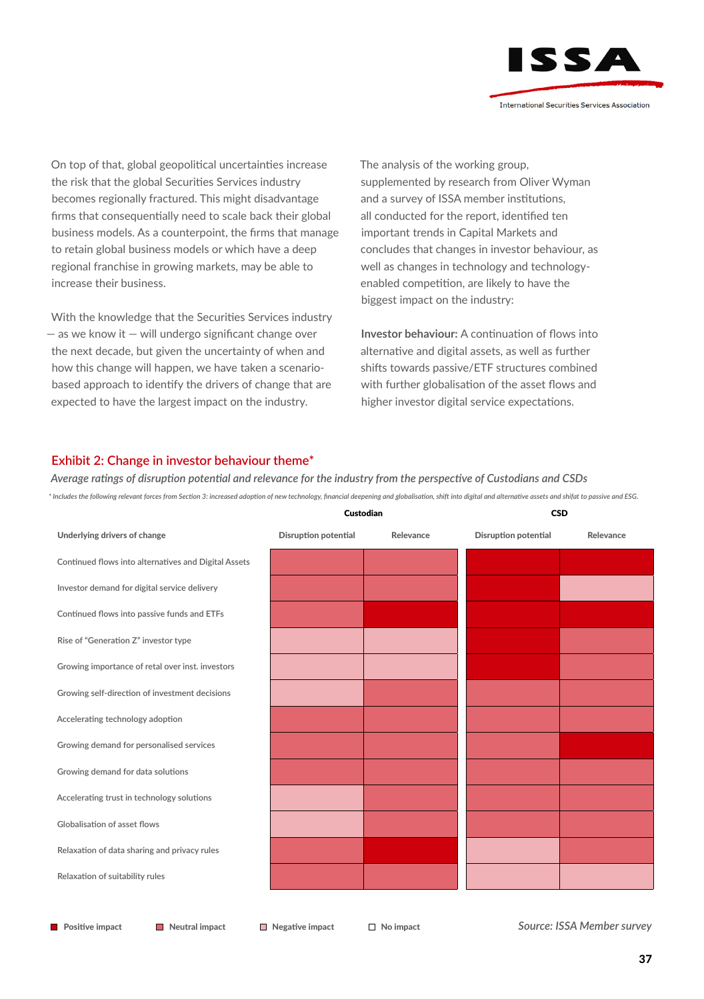

On top of that, global geopolitical uncertainties increase the risk that the global Securities Services industry becomes regionally fractured. This might disadvantage firms that consequentially need to scale back their global business models. As a counterpoint, the firms that manage to retain global business models or which have a deep regional franchise in growing markets, may be able to increase their business.

With the knowledge that the Securities Services industry  $-$  as we know it  $-$  will undergo significant change over the next decade, but given the uncertainty of when and how this change will happen, we have taken a scenariobased approach to identify the drivers of change that are expected to have the largest impact on the industry.

The analysis of the working group, supplemented by research from Oliver Wyman and a survey of ISSA member institutions, all conducted for the report, identified ten important trends in Capital Markets and concludes that changes in investor behaviour, as well as changes in technology and technologyenabled competition, are likely to have the biggest impact on the industry:

**Investor behaviour:** A continuation of flows into alternative and digital assets, as well as further shifts towards passive/ETF structures combined with further globalisation of the asset flows and higher investor digital service expectations.

#### **Exhibit 2: Change in investor behaviour theme\***

*Average ratings of disruption potential and relevance for the industry from the perspective of Custodians and CSDs \* Includes the following relevant forces from Section 3: increased adoption of new technology, financial deepening and globalisation, shift into digital and alternative assets and shifat to passive and ESG.*

|                      |           | <b>CSD</b>           |           |  |
|----------------------|-----------|----------------------|-----------|--|
| Disruption potential | Relevance | Disruption potential | Relevance |  |
|                      |           |                      |           |  |
|                      |           |                      |           |  |
|                      |           |                      |           |  |
|                      |           |                      |           |  |
|                      |           |                      |           |  |
|                      |           |                      |           |  |
|                      |           |                      |           |  |
|                      |           |                      |           |  |
|                      |           |                      |           |  |
|                      |           |                      |           |  |
|                      |           |                      |           |  |
|                      |           |                      |           |  |
|                      |           |                      |           |  |
|                      |           | Custodian            |           |  |

**Positive impact Neutral impact Negative impact**  $\Box$  No impact

*Source: ISSA Member survey*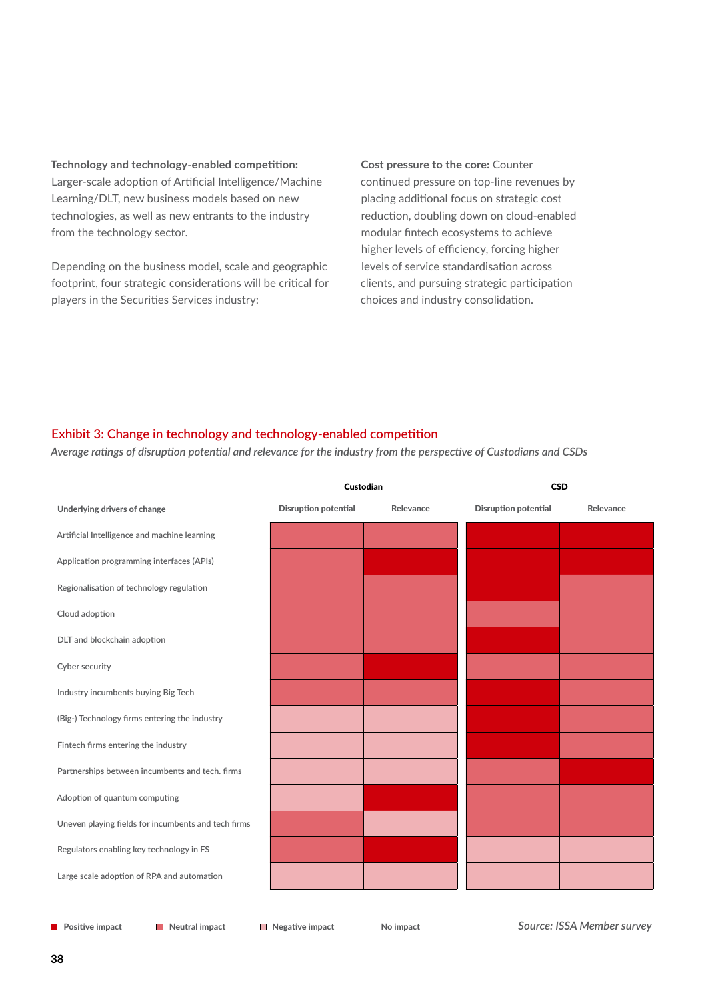**Technology and technology-enabled competition:** Larger-scale adoption of Artificial Intelligence/Machine Learning/DLT, new business models based on new technologies, as well as new entrants to the industry from the technology sector.

Depending on the business model, scale and geographic footprint, four strategic considerations will be critical for players in the Securities Services industry:

**Cost pressure to the core:** Counter continued pressure on top-line revenues by placing additional focus on strategic cost reduction, doubling down on cloud-enabled modular fintech ecosystems to achieve higher levels of efficiency, forcing higher levels of service standardisation across clients, and pursuing strategic participation choices and industry consolidation.

# **Exhibit 3: Change in technology and technology-enabled competition**

*Average ratings of disruption potential and relevance for the industry from the perspective of Custodians and CSDs*

|                                                     | Custodian            |           | <b>CSD</b>           |           |  |
|-----------------------------------------------------|----------------------|-----------|----------------------|-----------|--|
| Underlying drivers of change                        | Disruption potential | Relevance | Disruption potential | Relevance |  |
| Artificial Intelligence and machine learning        |                      |           |                      |           |  |
| Application programming interfaces (APIs)           |                      |           |                      |           |  |
| Regionalisation of technology regulation            |                      |           |                      |           |  |
| Cloud adoption                                      |                      |           |                      |           |  |
| DLT and blockchain adoption                         |                      |           |                      |           |  |
| Cyber security                                      |                      |           |                      |           |  |
| Industry incumbents buying Big Tech                 |                      |           |                      |           |  |
| (Big-) Technology firms entering the industry       |                      |           |                      |           |  |
| Fintech firms entering the industry                 |                      |           |                      |           |  |
| Partnerships between incumbents and tech. firms     |                      |           |                      |           |  |
| Adoption of quantum computing                       |                      |           |                      |           |  |
| Uneven playing fields for incumbents and tech firms |                      |           |                      |           |  |
| Regulators enabling key technology in FS            |                      |           |                      |           |  |
| Large scale adoption of RPA and automation          |                      |           |                      |           |  |
|                                                     |                      |           |                      |           |  |

**Positive impact Neutral impact Negative impact**  $\Box$  No impact

*Source: ISSA Member survey*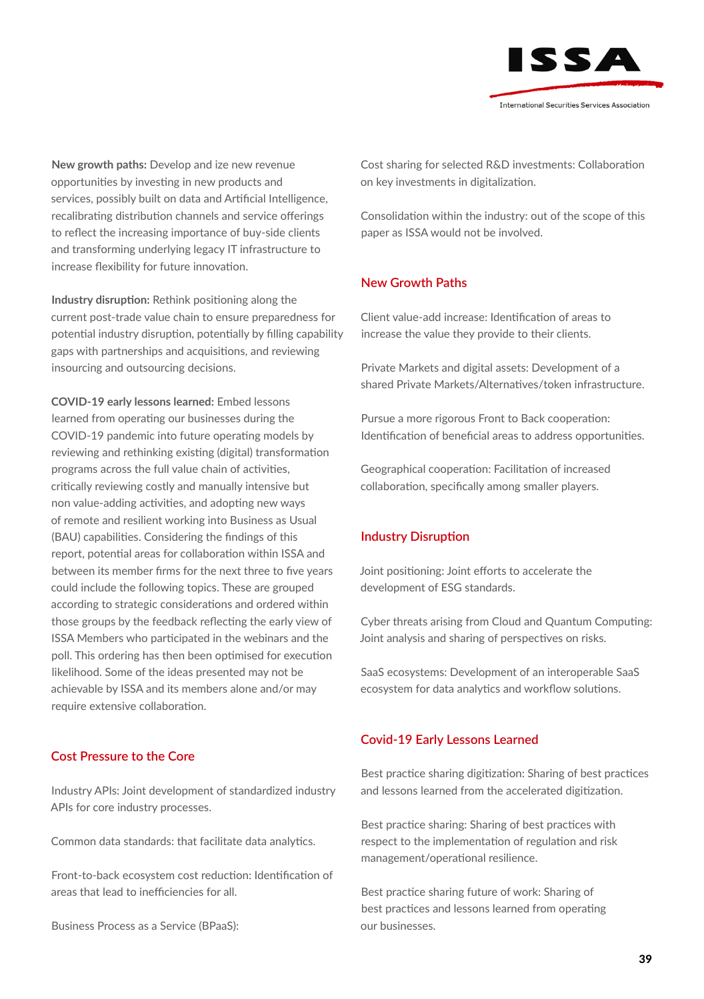

**New growth paths:** Develop and ize new revenue opportunities by investing in new products and services, possibly built on data and Artificial Intelligence, recalibrating distribution channels and service offerings to reflect the increasing importance of buy-side clients and transforming underlying legacy IT infrastructure to increase flexibility for future innovation.

**Industry disruption:** Rethink positioning along the current post-trade value chain to ensure preparedness for potential industry disruption, potentially by filling capability gaps with partnerships and acquisitions, and reviewing insourcing and outsourcing decisions.

**COVID-19 early lessons learned:** Embed lessons learned from operating our businesses during the COVID-19 pandemic into future operating models by reviewing and rethinking existing (digital) transformation programs across the full value chain of activities, critically reviewing costly and manually intensive but non value-adding activities, and adopting new ways of remote and resilient working into Business as Usual (BAU) capabilities. Considering the findings of this report, potential areas for collaboration within ISSA and between its member firms for the next three to five years could include the following topics. These are grouped according to strategic considerations and ordered within those groups by the feedback reflecting the early view of ISSA Members who participated in the webinars and the poll. This ordering has then been optimised for execution likelihood. Some of the ideas presented may not be achievable by ISSA and its members alone and/or may require extensive collaboration.

#### **Cost Pressure to the Core**

Industry APIs: Joint development of standardized industry APIs for core industry processes.

Common data standards: that facilitate data analytics.

Front-to-back ecosystem cost reduction: Identification of areas that lead to inefficiencies for all.

Business Process as a Service (BPaaS):

Cost sharing for selected R&D investments: Collaboration on key investments in digitalization.

Consolidation within the industry: out of the scope of this paper as ISSA would not be involved.

### **New Growth Paths**

Client value-add increase: Identification of areas to increase the value they provide to their clients.

Private Markets and digital assets: Development of a shared Private Markets/Alternatives/token infrastructure.

Pursue a more rigorous Front to Back cooperation: Identification of beneficial areas to address opportunities.

Geographical cooperation: Facilitation of increased collaboration, specifically among smaller players.

#### **Industry Disruption**

Joint positioning: Joint efforts to accelerate the development of ESG standards.

Cyber threats arising from Cloud and Quantum Computing: Joint analysis and sharing of perspectives on risks.

SaaS ecosystems: Development of an interoperable SaaS ecosystem for data analytics and workflow solutions.

#### **Covid-19 Early Lessons Learned**

Best practice sharing digitization: Sharing of best practices and lessons learned from the accelerated digitization.

Best practice sharing: Sharing of best practices with respect to the implementation of regulation and risk management/operational resilience.

Best practice sharing future of work: Sharing of best practices and lessons learned from operating our businesses.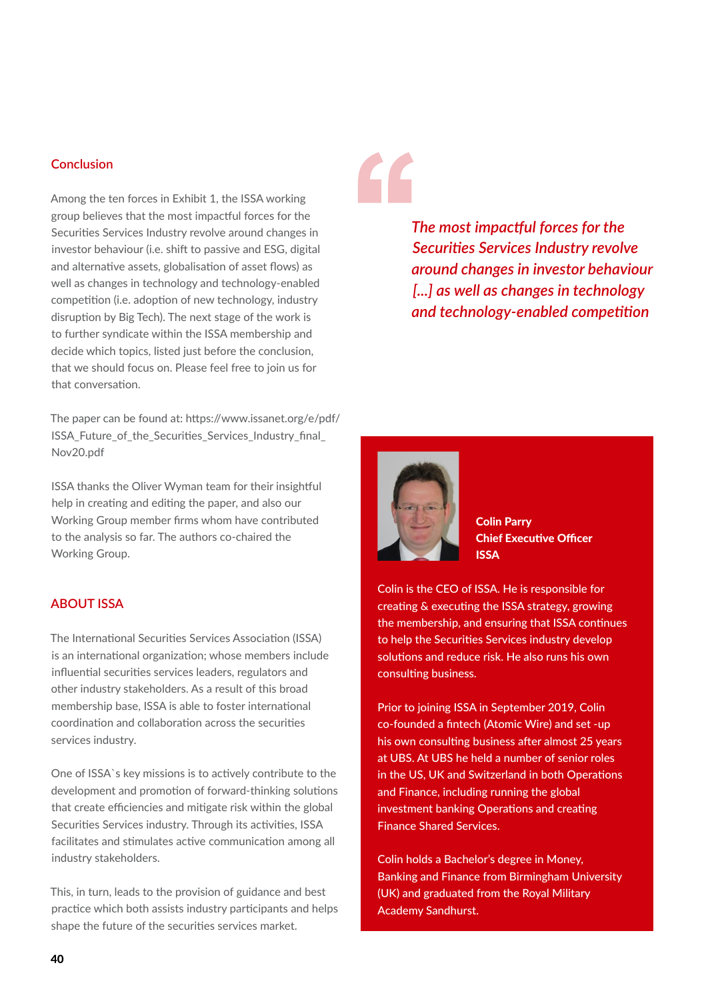# **Conclusion**

Among the ten forces in Exhibit 1, the ISSA working group believes that the most impactful forces for the Securities Services Industry revolve around changes in investor behaviour (i.e. shift to passive and ESG, digital and alternative assets, globalisation of asset flows) as well as changes in technology and technology-enabled competition (i.e. adoption of new technology, industry disruption by Big Tech). The next stage of the work is to further syndicate within the ISSA membership and decide which topics, listed just before the conclusion, that we should focus on. Please feel free to join us for that conversation.

The paper can be found at: https://www.issanet.org/e/pdf/ ISSA Future of the Securities Services Industry final Nov20.pdf

ISSA thanks the Oliver Wyman team for their insightful help in creating and editing the paper, and also our Working Group member firms whom have contributed to the analysis so far. The authors co-chaired the Working Group.

#### **ABOUT ISSA**

The International Securities Services Association (ISSA) is an international organization; whose members include influential securities services leaders, regulators and other industry stakeholders. As a result of this broad membership base, ISSA is able to foster international coordination and collaboration across the securities services industry.

One of ISSA`s key missions is to actively contribute to the development and promotion of forward-thinking solutions that create efficiencies and mitigate risk within the global Securities Services industry. Through its activities, ISSA facilitates and stimulates active communication among all industry stakeholders.

This, in turn, leads to the provision of guidance and best practice which both assists industry participants and helps shape the future of the securities services market.

*The most impactful forces for the Securities Services Industry revolve around changes in investor behaviour [...] as well as changes in technology and technology-enabled competition*



Colin Parry Chief Executive Officer ISSA

Colin is the CEO of ISSA. He is responsible for creating & executing the ISSA strategy, growing the membership, and ensuring that ISSA continues to help the Securities Services industry develop solutions and reduce risk. He also runs his own consulting business.

Prior to joining ISSA in September 2019, Colin co-founded a fintech (Atomic Wire) and set -up his own consulting business after almost 25 years at UBS. At UBS he held a number of senior roles in the US, UK and Switzerland in both Operations and Finance, including running the global investment banking Operations and creating Finance Shared Services.

Colin holds a Bachelor's degree in Money, Banking and Finance from Birmingham University (UK) and graduated from the Royal Military Academy Sandhurst.